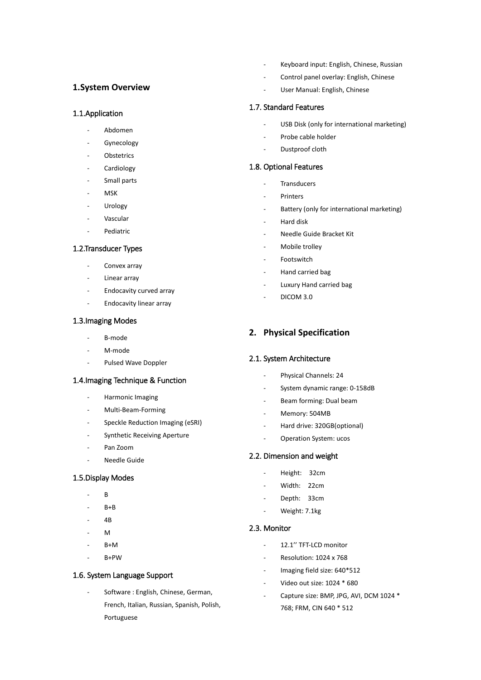# **1.System Overview**

### 1.1.Application

- Abdomen
- **Gynecology**
- **Obstetrics**
- **Cardiology**
- Small parts
- **MSK**
- **Urology**
- Vascular
- Pediatric

### 1.2.Transducer Types

- Convex array
- Linear array
- Endocavity curved array
- Endocavity linear array

#### 1.3.Imaging Modes

- B-mode
- M-mode
- Pulsed Wave Doppler

### 1.4.Imaging Technique & Function

- Harmonic Imaging
- Multi-Beam-Forming
- Speckle Reduction Imaging (eSRI)
- Synthetic Receiving Aperture
- Pan Zoom
- Needle Guide

### 1.5.Display Modes

- $\overline{B}$
- $B + B$
- 4B
- $M$
- $B+M$
- B+PW

### 1.6. System Language Support

Software: English, Chinese, German, French, Italian, Russian, Spanish, Polish, Portuguese

- Keyboard input: English, Chinese, Russian
- Control panel overlay: English, Chinese
- User Manual: English, Chinese

### 1.7. Standard Features

- USB Disk (only for international marketing)
- Probe cable holder
- Dustproof cloth

### 1.8. Optional Features

- **Transducers**
- Printers
- Battery (only for international marketing)
- Hard disk
- Needle Guide Bracket Kit
- Mobile trolley
- **Footswitch**
- Hand carried bag
- Luxury Hand carried bag
- DICOM 3.0

# **2. Physical Specification**

### 2.1. System Architecture

- Physical Channels: 24
- System dynamic range: 0-158dB
- Beam forming: Dual beam
- Memory: 504MB
- Hard drive: 320GB(optional)
- Operation System: ucos

# 2.2. Dimension and weight

- Height: 32cm
- Width: 22cm
- Depth: 33cm
- Weight: 7.1kg

#### 2.3. Monitor

- 12.1'' TFT-LCD monitor
- Resolution: 1024 x 768
- Imaging field size: 640\*512
- Video out size: 1024 \* 680
- Capture size: BMP, JPG, AVI, DCM 1024 \* 768; FRM, CIN 640 \* 512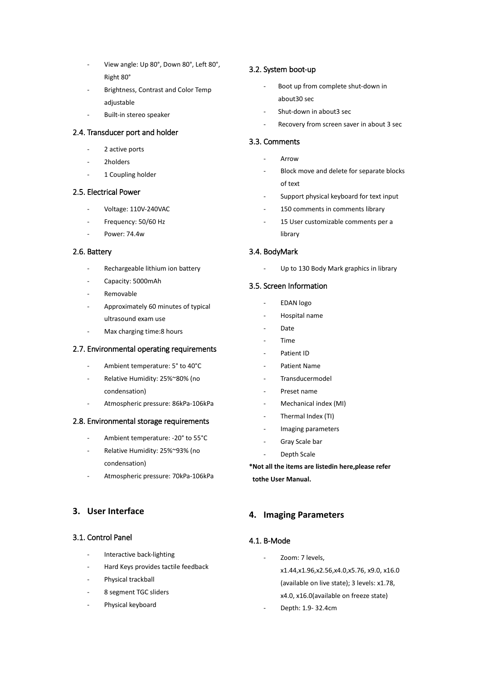- View angle: Up 80°, Down 80°, Left 80°, Right 80°
- Brightness, Contrast and Color Temp adjustable
- Built-in stereo speaker

## 2.4. Transducer port and holder

- 2 active ports
- 2holders
- 1 Coupling holder

### 2.5. Electrical Power

- Voltage: 110V-240VAC
- Frequency: 50/60 Hz
- Power: 74.4w

#### 2.6. Battery

- Rechargeable lithium ion battery
- Capacity: 5000mAh
- **Removable**
- Approximately 60 minutes of typical ultrasound exam use
- Max charging time: 8 hours

### 2.7. Environmental operating requirements

- Ambient temperature: 5° to 40°C
- Relative Humidity: 25%~80% (no condensation)
- Atmospheric pressure: 86kPa-106kPa

### 2.8. Environmental storage requirements

- Ambient temperature: 20° to 55°C
- Relative Humidity: 25%~93% (no condensation)
- Atmospheric pressure: 70kPa-106kPa

## **3. User Interface**

### 3.1. Control Panel

- Interactive back-lighting
- Hard Keys provides tactile feedback
- Physical trackball
- 8 segment TGC sliders
- Physical keyboard

### 3.2. System boot-up

- Boot up from complete shut-down in about30 sec
- Shut-down in about3 sec
- Recovery from screen saver in about 3 sec

### 3.3. Comments

- **Arrow**
- Block move and delete for separate blocks of text
	- Support physical keyboard for text input
- 150 comments in comments library
- 15 User customizable comments per a library

### 3.4. BodyMark

Up to 130 Body Mark graphics in library

### 3.5. Screen Information

- EDAN logo
- Hospital name
- Date
- Time
- Patient ID
- Patient Name
- Transducermodel
- Preset name
- Mechanical index (MI)
- Thermal Index (TI)
- Imaging parameters
- Gray Scale bar
- Depth Scale

**\*Not all the items are listedin here,please refer tothe User Manual.**

## **4. Imaging Parameters**

### 4.1. B-Mode

- Zoom: 7 levels,
	- x1.44,x1.96,x2.56,x4.0,x5.76, x9.0, x16.0 (available on live state); 3 levels: x1.78, x4.0, x16.0(available on freeze state)
- Depth: 1.9- 32.4cm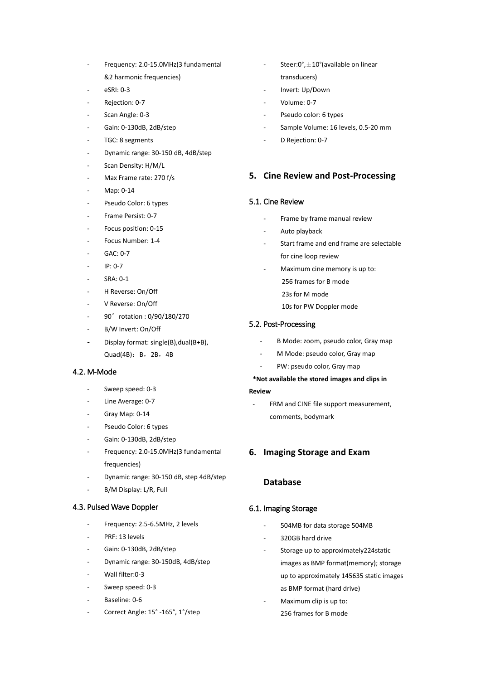- Frequency: 2.0-15.0MHz(3 fundamental &2 harmonic frequencies)
- eSRI: 0-3
- Rejection: 0-7
- Scan Angle: 0-3
- Gain: 0-130dB, 2dB/step
- TGC: 8 segments
- Dynamic range: 30-150 dB, 4dB/step
- Scan Density: H/M/L
- Max Frame rate: 270 f/s
- Map: 0-14
- Pseudo Color: 6 types
- Frame Persist: 0-7
- Focus position: 0-15
- Focus Number: 1-4
- GAC: 0-7
- IP: 0-7
- SRA: 0-1
- H Reverse: On/Off
- V Reverse: On/Off
- 90° rotation : 0/90/180/270
- B/W Invert: On/Off
- Display format: single(B), dual(B+B), Quad(4B):B,2B,4B

#### 4.2. M-Mode

- Sweep speed: 0-3
- Line Average: 0-7
- Gray Map: 0-14
- Pseudo Color: 6 types
- Gain: 0-130dB, 2dB/step
- Frequency: 2.0-15.0MHz(3 fundamental frequencies)
- Dynamic range: 30-150 dB, step 4dB/step
- B/M Display: L/R, Full

### 4.3. Pulsed Wave Doppler

- Frequency: 2.5-6.5MHz, 2 levels
- PRF: 13 levels
- Gain: 0-130dB, 2dB/step
- Dynamic range: 30-150dB, 4dB/step
- Wall filter:0-3
- Sweep speed: 0-3
- Baseline: 0-6
- Correct Angle: 15° -165°, 1°/step
- Steer: $0^\circ$ ,  $\pm 10^\circ$  (available on linear transducers)
- Invert: Up/Down
- Volume: 0-7
- Pseudo color: 6 types
- Sample Volume: 16 levels, 0.5-20 mm
- D Rejection: 0-7

## **5. Cine Review and Post-Processing**

#### 5.1. Cine Review

- Frame by frame manual review
- Auto playback
- Start frame and end frame are selectable for cine loop review
- Maximum cine memory is up to:
	- 256 frames for B mode
	- 23s for M mode
	- 10s for PW Doppler mode

#### 5.2. Post-Processing

- B Mode: zoom, pseudo color, Gray map
- M Mode: pseudo color, Gray map
	- PW: pseudo color, Gray map

## **\*Not available the stored images and clips in Review**

FRM and CINE file support measurement, comments, bodymark

## **6. Imaging Storage and Exam**

### **Database**

### 6.1. Imaging Storage

- 504MB for data storage 504MB
- 320GB hard drive
- Storage up to approximately224static images as BMP format(memory); storage up to approximately 145635 static images as BMP format (hard drive)
- Maximum clip is up to: 256 frames for B mode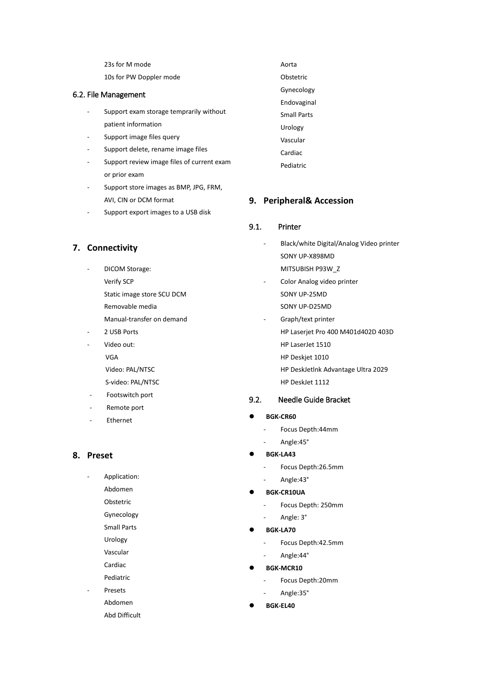23s for M mode

10s for PW Doppler mode

### 6.2. File Management

- Support exam storage temprarily without patient information
- Support image files query
- Support delete, rename image files
- Support review image files of current exam or prior exam
- Support store images as BMP, JPG, FRM, AVI, CIN or DCM format
- Support export images to a USB disk

# **7. Connectivity**

- DICOM Storage: Verify SCP Static image store SCU DCM Removable media Manual-transfer on demand
- 2 USB Ports
- Video out: VGA Video: PAL/NTSC
	- S-video: PAL/NTSC
- Footswitch port
- Remote port
- **Ethernet**

# **8. Preset**

Application:

- Abdomen
- Obstetric
- Gynecology
- Small Parts
- Urology
- Vascular Cardiac
- Pediatric
- **Presets**
- Abdomen
	- Abd Difficult

Aorta Obstetric Gynecology Endovaginal Small Parts Urology Vascular Cardiac Pediatric

# **9. Peripheral& Accession**

# 9.1. Printer

- Black/white Digital/Analog Video printer SONY UP-X898MD MITSUBISH P93W\_Z
- Color Analog video printer SONY UP-25MD SONY UP-D25MD
	- Graph/text printer
		- HP Laserjet Pro 400 M401d402D 403D
		- HP LaserJet 1510
		- HP Deskjet 1010
		- HP DeskJetlnk Advantage Ultra 2029
		- HP DeskJet 1112

# 9.2. Needle Guide Bracket

- **BGK-CR60**
	- Focus Depth:44mm
	- Angle:45°
- **BGK-LA43**
	- Focus Depth:26.5mm
	- Angle:43°
- **BGK-CR10UA**
	- Focus Depth: 250mm
	- Angle: 3°
- **BGK-LA70**
	- Focus Depth:42.5mm
	- Angle:44°
- **BGK-MCR10**
	- Focus Depth: 20mm
	- Angle:35°
- **BGK-EL40**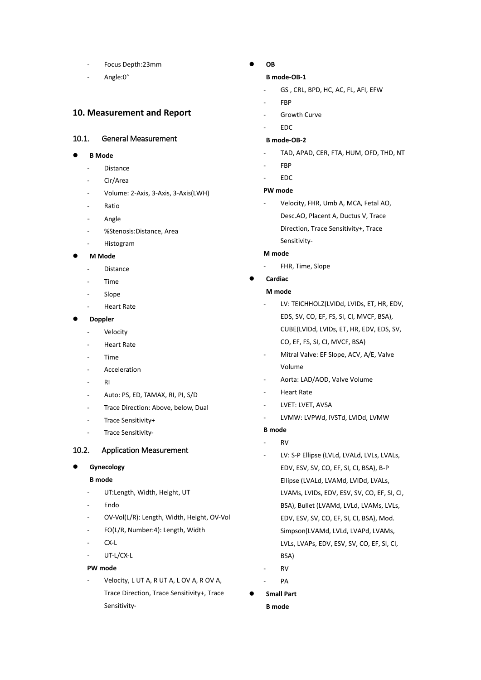- Focus Depth:23mm
- Angle:0°

# **10. Measurement and Report**

### 10.1. General Measurement

- **B Mode** 
	- **Distance**
	- Cir/Area
	- Volume: 2-Axis, 3-Axis, 3-Axis(LWH)
	- **Ratio**
	- Angle
	- %Stenosis:Distance, Area
	- **Histogram**
- **M Mode** 
	- **Distance**
	- Time
	- Slope
	- Heart Rate

#### **Doppler**

- Velocity
- Heart Rate
- Time
- **Acceleration**
- RI
- Auto: PS, ED, TAMAX, RI, PI, S/D
- Trace Direction: Above, below, Dual
- Trace Sensitivity+
- Trace Sensitivity-

### 10.2. Application Measurement

### **Gynecology**

### **B mode**

- UT:Length, Width, Height, UT
- Endo
- OV-Vol(L/R): Length, Width, Height, OV-Vol
- FO(L/R, Number:4): Length, Width
- $CX-I$
- UT-L/CX-L

### **PW mode**

Velocity, L UT A, R UT A, L OV A, R OV A, Trace Direction, Trace Sensitivity+, Trace Sensitivity-

# **OB**

### **B mode-OB-1**

- GS , CRL, BPD, HC, AC, FL, AFI, EFW
- FBP
- Growth Curve
- EDC

# **B mode-OB-2**

- TAD, APAD, CER, FTA, HUM, OFD, THD, NT
- FBP
- EDC

### **PW mode**

Velocity, FHR, Umb A, MCA, Fetal AO, Desc.AO, Placent A, Ductus V, Trace Direction, Trace Sensitivity+, Trace Sensitivity-

### **M mode**

FHR, Time, Slope

## **Cardiac**

### **M mode**

- LV: TEICHHOLZ(LVIDd, LVIDs, ET, HR, EDV, EDS, SV, CO, EF, FS, SI, CI, MVCF, BSA), CUBE(LVIDd, LVIDs, ET, HR, EDV, EDS, SV, CO, EF, FS, SI, CI, MVCF, BSA)
- Mitral Valve: EF Slope, ACV, A/E, Valve Volume
- Aorta: LAD/AOD, Valve Volume
- Heart Rate
- LVET: LVET, AVSA
- LVMW: LVPWd, IVSTd, LVIDd, LVMW

#### **B mode**

- $R<sub>V</sub>$
- LV: S-P Ellipse (LVLd, LVALd, LVLs, LVALs, EDV, ESV, SV, CO, EF, SI, CI, BSA), B-P Ellipse (LVALd, LVAMd, LVIDd, LVALs, LVAMs, LVIDs, EDV, ESV, SV, CO, EF, SI, CI, BSA), Bullet (LVAMd, LVLd, LVAMs, LVLs, EDV, ESV, SV, CO, EF, SI, CI, BSA), Mod. Simpson(LVAMd, LVLd, LVAPd, LVAMs, LVLs, LVAPs, EDV, ESV, SV, CO, EF, SI, CI, BSA)
- RV
- PA
- **Small Part B mode**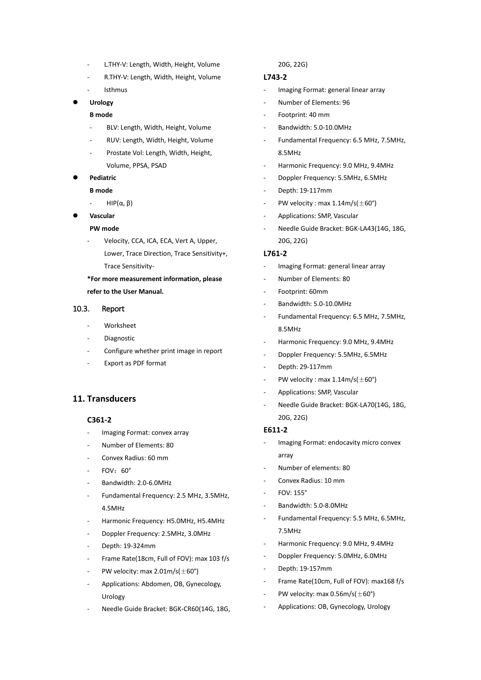- L.THY-V: Length, Width, Height, Volume
- R.THY-V: Length, Width, Height, Volume
- **Isthmus**

### **Urology**

### **B mode**

- BLV: Length, Width, Height, Volume
- RUV: Length, Width, Height, Volume
- Prostate Vol: Length, Width, Height, Volume, PPSA, PSAD

#### **Pediatric**

#### **B mode**

- $HIP(α, β)$
- **Vascular**

#### **PW mode**

Velocity, CCA, ICA, ECA, Vert A, Upper, Lower, Trace Direction, Trace Sensitivity+, Trace Sensitivity-

# **\*For more measurement information, please refer to the User Manual.**

### 10.3. Report

- **Worksheet**
- **Diagnostic**
- Configure whether print image in report
- Export as PDF format

### **11. Transducers**

### **C361-2**

- Imaging Format: convex array
- Number of Elements: 80
- Convex Radius: 60 mm
- $FOV:60^\circ$
- Bandwidth: 2.0-6.0MHz
- Fundamental Frequency: 2.5 MHz, 3.5MHz, 4.5MHz
- Harmonic Frequency: H5.0MHz, H5.4MHz
- Doppler Frequency: 2.5MHz, 3.0MHz
- Depth: 19-324mm
- Frame Rate(18cm, Full of FOV): max 103 f/s
- PW velocity: max  $2.01$ m/s( $\pm$ 60°)
- Applications: Abdomen, OB, Gynecology, Urology
- Needle Guide Bracket: BGK-CR60(14G, 18G,

#### 20G, 22G)

# **L743-2**

- Imaging Format: general linear array
- Number of Elements: 96
- Footprint: 40 mm
- Bandwidth: 5.0-10.0MHz
- Fundamental Frequency: 6.5 MHz, 7.5MHz, 8.5MHz
- Harmonic Frequency: 9.0 MHz, 9.4MHz
- Doppler Frequency: 5.5MHz, 6.5MHz
- Depth: 19-117mm
- PW velocity : max  $1.14$ m/s( $\pm$ 60°)
- Applications: SMP, Vascular
- Needle Guide Bracket: BGK-LA43(14G, 18G, 20G, 22G)

#### **L761-2**

- Imaging Format: general linear array
- Number of Elements: 80
- Footprint: 60mm
- Bandwidth: 5.0-10.0MHz
- Fundamental Frequency: 6.5 MHz, 7.5MHz, 8.5MHz
- Harmonic Frequency: 9.0 MHz, 9.4MHz
- Doppler Frequency: 5.5MHz, 6.5MHz
- Depth: 29-117mm
- PW velocity : max  $1.14 \text{m/s} (\pm 60^{\circ})$
- Applications: SMP, Vascular
- Needle Guide Bracket: BGK-LA70(14G, 18G, 20G, 22G)

#### **E611-2**

- Imaging Format: endocavity micro convex array
- Number of elements: 80
- Convex Radius: 10 mm
- FOV: 155°
- Bandwidth: 5.0-8.0MHz
- Fundamental Frequency: 5.5 MHz, 6.5MHz, 7.5MHz
- Harmonic Frequency: 9.0 MHz, 9.4MHz
- Doppler Frequency: 5.0MHz, 6.0MHz
- Depth: 19-157mm
- Frame Rate(10cm, Full of FOV): max168 f/s
- PW velocity: max  $0.56$ m/s( $\pm 60^{\circ}$ )
- Applications: OB, Gynecology, Urology